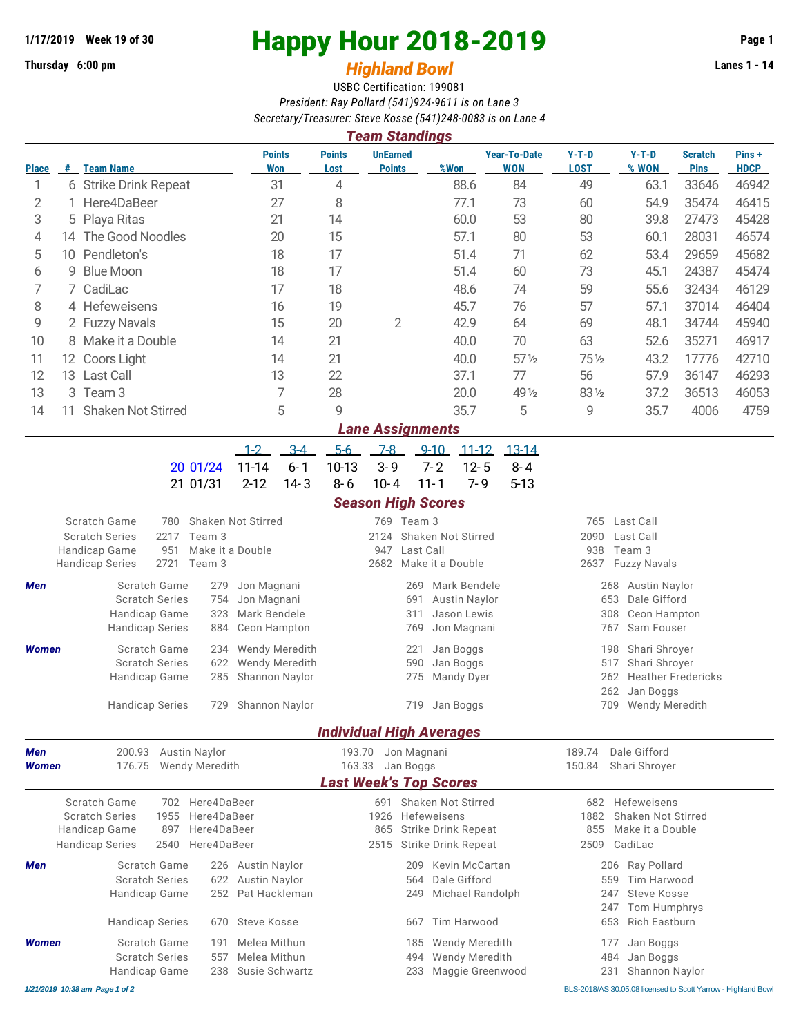## **Thursday 6:00 pm 141 141 141 Highland Bowl**

## **1/17/2019** Week 19 of 30<br>
Thursday 6:00 pm<br> **Happy Hour 2018-2019 Page 1**<br> **Highland Rowl**

## USBC Certification: 199081 *President: Ray Pollard (541)924-9611 is on Lane 3 Secretary/Treasurer: Steve Kosse (541)248-0083 is on Lane 4*

|              | <b>Team Standings</b>  |                                                                                     |     |                |                                    |                             |                       |                                  |                                                                 |                        |                                   |                                                  |                                    |                               |                       |  |  |  |
|--------------|------------------------|-------------------------------------------------------------------------------------|-----|----------------|------------------------------------|-----------------------------|-----------------------|----------------------------------|-----------------------------------------------------------------|------------------------|-----------------------------------|--------------------------------------------------|------------------------------------|-------------------------------|-----------------------|--|--|--|
| <b>Place</b> | #                      | <b>Team Name</b>                                                                    |     |                |                                    | <b>Points</b><br><b>Won</b> | <b>Points</b><br>Lost | <b>UnEarned</b><br><b>Points</b> |                                                                 | %Won                   | <b>Year-To-Date</b><br><b>WON</b> | $Y-T-D$<br><b>LOST</b>                           | $Y-T-D$<br>% WON                   | <b>Scratch</b><br><b>Pins</b> | Pins +<br><b>HDCP</b> |  |  |  |
| 1            |                        | 6 Strike Drink Repeat                                                               |     |                | 31                                 | 4                           |                       |                                  | 88.6                                                            | 84                     | 49                                | 63.1                                             | 33646                              | 46942                         |                       |  |  |  |
| 2            |                        | Here4DaBeer                                                                         |     | 27             | 8                                  |                             |                       | 77.1                             | 73                                                              | 60                     | 54.9                              | 35474                                            | 46415                              |                               |                       |  |  |  |
| 3            | 5                      | Playa Ritas                                                                         |     |                |                                    | 21                          |                       |                                  |                                                                 | 60.0                   | 53                                | 80                                               | 39.8                               | 27473                         | 45428                 |  |  |  |
| 4            | 14                     | The Good Noodles                                                                    |     |                |                                    | 20                          | 15                    |                                  |                                                                 | 57.1                   | 80                                | 53                                               | 60.1                               | 28031                         | 46574                 |  |  |  |
| 5            | 10                     | Pendleton's                                                                         |     | 18             |                                    | 17                          |                       |                                  | 51.4                                                            | 71                     | 62                                | 53.4                                             | 29659                              | 45682                         |                       |  |  |  |
| 6            | 9                      | <b>Blue Moon</b>                                                                    |     | 18             |                                    | 17                          |                       |                                  | 51.4                                                            | 60                     | 73                                | 45.1                                             | 24387                              | 45474                         |                       |  |  |  |
| 7            |                        | 7 CadiLac                                                                           |     | 17             |                                    | 18                          |                       |                                  | 48.6                                                            | 74                     | 59                                | 55.6                                             | 32434                              | 46129                         |                       |  |  |  |
| 8            | 4 Hefeweisens          |                                                                                     |     |                | 16                                 | 19                          |                       |                                  | 45.7                                                            | 76                     | 57                                | 57.1                                             | 37014                              | 46404                         |                       |  |  |  |
| 9            | 2 Fuzzy Navals         |                                                                                     |     |                | 15                                 | 20                          | $\overline{2}$        |                                  | 42.9                                                            | 64                     | 69                                | 48.1                                             | 34744                              | 45940                         |                       |  |  |  |
| 10           | Make it a Double<br>8  |                                                                                     |     |                |                                    | 14                          | 21                    |                                  |                                                                 | 40.0                   | 70                                | 63                                               | 52.6                               | 35271                         | 46917                 |  |  |  |
| 11           | 12 Coors Light         |                                                                                     |     |                |                                    | 14                          | 21                    |                                  |                                                                 | 40.0                   | $57\frac{1}{2}$                   | 751/2                                            | 43.2                               | 17776                         | 42710                 |  |  |  |
| 12           |                        | 13 Last Call                                                                        |     |                |                                    | 13                          | 22                    |                                  |                                                                 | 37.1                   | 77                                | 56                                               | 57.9                               | 36147                         | 46293                 |  |  |  |
| 13           | Team <sub>3</sub><br>3 |                                                                                     |     | $\overline{7}$ |                                    |                             |                       | 20.0                             | 49 1/2                                                          | 831/2                  | 37.2                              | 36513                                            | 46053                              |                               |                       |  |  |  |
| 14           | 11                     | <b>Shaken Not Stirred</b>                                                           |     |                |                                    | 5                           | 9                     |                                  |                                                                 | 35.7                   | 5                                 | 9                                                | 35.7                               | 4006                          | 4759                  |  |  |  |
|              |                        |                                                                                     |     |                |                                    |                             |                       | <b>Lane Assignments</b>          |                                                                 |                        |                                   |                                                  |                                    |                               |                       |  |  |  |
|              |                        |                                                                                     |     |                | $1 - 2$                            | $3 - 4$                     | $5-6$                 | $7 - 8$                          | $9 - 10$                                                        | $11 - 12$              | $13 - 14$                         |                                                  |                                    |                               |                       |  |  |  |
|              |                        |                                                                                     |     | 20 01/24       | $11 - 14$                          | $6 - 1$                     | 10-13                 | $3 - 9$                          | $7 - 2$                                                         | $12 - 5$               | $8 - 4$                           |                                                  |                                    |                               |                       |  |  |  |
|              |                        |                                                                                     |     | 21 01/31       | $2 - 12$                           | $14 - 3$                    | $8 - 6$               | $10 - 4$                         | $11 - 1$                                                        | $7 - 9$                | $5 - 13$                          |                                                  |                                    |                               |                       |  |  |  |
|              |                        |                                                                                     |     |                |                                    |                             |                       | <b>Season High Scores</b>        |                                                                 |                        |                                   |                                                  |                                    |                               |                       |  |  |  |
|              |                        | Scratch Game<br>Shaken Not Stirred<br>780                                           |     |                |                                    |                             |                       | 769 Team 3                       |                                                                 |                        |                                   | Last Call<br>765                                 |                                    |                               |                       |  |  |  |
|              |                        | <b>Scratch Series</b><br>2217<br>Team 3<br>951<br>Handicap Game<br>Make it a Double |     |                |                                    |                             |                       | 2124<br>947                      | Last Call                                                       | Shaken Not Stirred     |                                   | Last Call<br>2090<br>938<br>Team 3               |                                    |                               |                       |  |  |  |
|              |                        | 2721<br><b>Handicap Series</b><br>Team 3                                            |     |                |                                    |                             |                       | 2682<br>Make it a Double         |                                                                 |                        |                                   |                                                  | 2637<br><b>Fuzzy Navals</b>        |                               |                       |  |  |  |
| Men          | Scratch Game<br>279    |                                                                                     |     |                | Jon Magnani                        |                             |                       |                                  | 269                                                             | Mark Bendele           |                                   | 268<br><b>Austin Naylor</b>                      |                                    |                               |                       |  |  |  |
|              |                        | <b>Scratch Series</b><br>754                                                        |     |                | Jon Magnani                        |                             |                       |                                  | 691                                                             | Austin Naylor          |                                   | Dale Gifford<br>653                              |                                    |                               |                       |  |  |  |
|              |                        | Handicap Game                                                                       |     | 323            | Mark Bendele                       |                             |                       |                                  | 311                                                             | Jason Lewis            |                                   |                                                  | 308<br>Ceon Hampton                |                               |                       |  |  |  |
|              |                        | <b>Handicap Series</b><br>884                                                       |     |                | Ceon Hampton                       |                             |                       | Jon Magnani<br>769               |                                                                 |                        |                                   |                                                  | 767<br>Sam Fouser                  |                               |                       |  |  |  |
| <b>Women</b> |                        | Scratch Game<br>234                                                                 |     |                |                                    | Wendy Meredith              |                       | Jan Boggs<br>221                 |                                                                 |                        |                                   |                                                  | Shari Shroyer<br>198               |                               |                       |  |  |  |
|              |                        | <b>Scratch Series</b><br>622                                                        |     |                |                                    | Wendy Meredith              |                       | 590<br>Jan Boggs                 |                                                                 |                        |                                   |                                                  | 517<br>Shari Shroyer               |                               |                       |  |  |  |
|              |                        | Handicap Game                                                                       |     | 285            | Shannon Naylor                     |                             |                       |                                  | 275                                                             | Mandy Dyer             |                                   |                                                  | 262                                | <b>Heather Fredericks</b>     |                       |  |  |  |
|              |                        | <b>Handicap Series</b><br>729                                                       |     |                | Shannon Naylor                     |                             |                       |                                  | 719 Jan Boggs                                                   |                        |                                   | 262<br>Jan Boggs<br>709<br><b>Wendy Meredith</b> |                                    |                               |                       |  |  |  |
|              |                        |                                                                                     |     |                |                                    |                             |                       |                                  |                                                                 |                        |                                   |                                                  |                                    |                               |                       |  |  |  |
| Men          |                        | 200.93                                                                              |     |                |                                    |                             | 193.70                | <b>Individual High Averages</b>  | Jon Magnani                                                     |                        |                                   | 189.74                                           | Dale Gifford                       |                               |                       |  |  |  |
| <b>Women</b> |                        | <b>Austin Naylor</b><br><b>Wendy Meredith</b><br>176.75                             |     |                |                                    |                             |                       | 163.33<br>Jan Boggs              |                                                                 |                        |                                   |                                                  | 150.84<br>Shari Shroyer            |                               |                       |  |  |  |
|              |                        |                                                                                     |     |                |                                    |                             |                       | <b>Last Week's Top Scores</b>    |                                                                 |                        |                                   |                                                  |                                    |                               |                       |  |  |  |
|              |                        | Scratch Game                                                                        | 702 | Here4DaBeer    |                                    |                             |                       |                                  |                                                                 | 691 Shaken Not Stirred |                                   | 682                                              | Hefeweisens                        |                               |                       |  |  |  |
|              |                        | Here4DaBeer<br><b>Scratch Series</b><br>1955                                        |     |                |                                    |                             |                       | 1926<br>Hefeweisens              |                                                                 |                        |                                   |                                                  | Shaken Not Stirred<br>1882         |                               |                       |  |  |  |
|              |                        | Handicap Game<br>Here4DaBeer<br>897<br>2540<br>Here4DaBeer                          |     |                |                                    |                             |                       |                                  | <b>Strike Drink Repeat</b><br>865<br><b>Strike Drink Repeat</b> |                        |                                   |                                                  | 855<br>Make it a Double<br>CadiLac |                               |                       |  |  |  |
|              | <b>Handicap Series</b> |                                                                                     |     |                |                                    |                             |                       | 2515                             |                                                                 |                        |                                   |                                                  | 2509                               |                               |                       |  |  |  |
| Men          |                        | Scratch Game<br>226                                                                 |     |                |                                    | Austin Naylor               |                       |                                  | Kevin McCartan<br>209<br>Dale Gifford                           |                        |                                   | Ray Pollard<br>206<br>Tim Harwood<br>559         |                                    |                               |                       |  |  |  |
|              |                        | <b>Scratch Series</b><br>252<br>Handicap Game                                       |     |                | 622 Austin Naylor<br>Pat Hackleman |                             |                       | 564<br>Michael Randolph<br>249   |                                                                 |                        |                                   |                                                  | Steve Kosse<br>247                 |                               |                       |  |  |  |
|              |                        |                                                                                     |     |                |                                    |                             |                       |                                  |                                                                 |                        |                                   |                                                  | Tom Humphrys<br>247                |                               |                       |  |  |  |
|              |                        | <b>Handicap Series</b>                                                              |     | 670            | <b>Steve Kosse</b>                 |                             |                       |                                  | 667                                                             | Tim Harwood            |                                   |                                                  | <b>Rich Eastburn</b><br>653        |                               |                       |  |  |  |
| <b>Women</b> |                        | Scratch Game<br>191                                                                 |     |                | Melea Mithun                       |                             |                       |                                  | Wendy Meredith<br>185                                           |                        |                                   |                                                  | Jan Boggs<br>177                   |                               |                       |  |  |  |
|              |                        | <b>Scratch Series</b>                                                               |     | 557            | Melea Mithun                       |                             |                       |                                  | 494                                                             | Wendy Meredith         |                                   |                                                  | 484<br>Jan Boggs                   |                               |                       |  |  |  |
|              |                        | Handicap Game<br>238                                                                |     |                |                                    | Susie Schwartz              |                       | Maggie Greenwood<br>233          |                                                                 |                        |                                   | Shannon Naylor<br>231                            |                                    |                               |                       |  |  |  |

*1/21/2019 10:38 am Page 1 of 2* BLS-2018/AS 30.05.08 licensed to Scott Yarrow - Highland Bowl